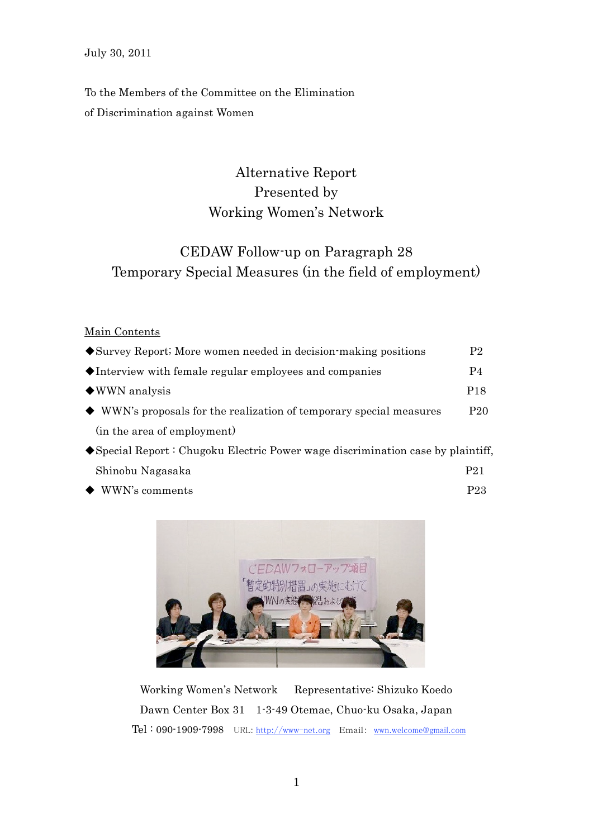To the Members of the Committee on the Elimination of Discrimination against Women

# Alternative Report Presented by Working Women's Network

# CEDAW Follow-up on Paragraph 28 Temporary Special Measures (in the field of employment)

### Main Contents

| ◆ Survey Report; More women needed in decision-making positions                   | P2              |
|-----------------------------------------------------------------------------------|-----------------|
| •Interview with female regular employees and companies                            | P4              |
| $\blacklozenge$ WWN analysis                                                      | P <sub>18</sub> |
| $\blacklozenge$ WWN's proposals for the realization of temporary special measures | P <sub>20</sub> |
| (in the area of employment)                                                       |                 |
| ◆ Special Report: Chugoku Electric Power wage discrimination case by plaintiff,   |                 |
| Shinobu Nagasaka                                                                  | P21             |

◆ WWN's comments P23



Working Women's Network Representative: Shizuko Koedo Dawn Center Box 31 1-3-49 Otemae, Chuo-ku Osaka, Japan Tel : 090-1909-7998 URL: http://www-net.org Email: wwn.welcome@gmail.com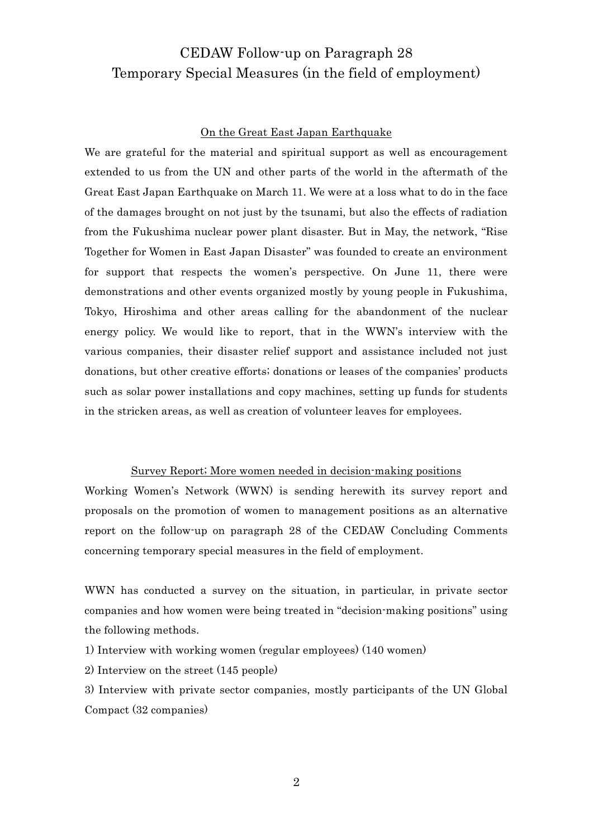# CEDAW Follow-up on Paragraph 28 Temporary Special Measures (in the field of employment)

### On the Great East Japan Earthquake

We are grateful for the material and spiritual support as well as encouragement extended to us from the UN and other parts of the world in the aftermath of the Great East Japan Earthquake on March 11. We were at a loss what to do in the face of the damages brought on not just by the tsunami, but also the effects of radiation from the Fukushima nuclear power plant disaster. But in May, the network, "Rise Together for Women in East Japan Disaster" was founded to create an environment for support that respects the women's perspective. On June 11, there were demonstrations and other events organized mostly by young people in Fukushima, Tokyo, Hiroshima and other areas calling for the abandonment of the nuclear energy policy. We would like to report, that in the WWN's interview with the various companies, their disaster relief support and assistance included not just donations, but other creative efforts; donations or leases of the companies' products such as solar power installations and copy machines, setting up funds for students in the stricken areas, as well as creation of volunteer leaves for employees.

#### Survey Report; More women needed in decision-making positions

Working Women's Network (WWN) is sending herewith its survey report and proposals on the promotion of women to management positions as an alternative report on the follow-up on paragraph 28 of the CEDAW Concluding Comments concerning temporary special measures in the field of employment.

WWN has conducted a survey on the situation, in particular, in private sector companies and how women were being treated in "decision-making positions" using the following methods.

1) Interview with working women (regular employees) (140 women)

2) Interview on the street (145 people)

3) Interview with private sector companies, mostly participants of the UN Global Compact (32 companies)

2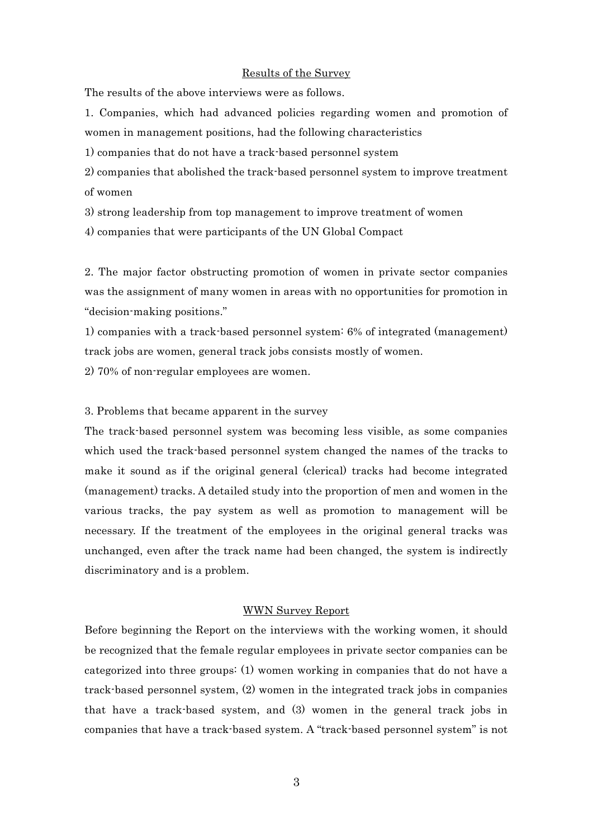### Results of the Survey

The results of the above interviews were as follows.

1. Companies, which had advanced policies regarding women and promotion of women in management positions, had the following characteristics

1) companies that do not have a track-based personnel system

2) companies that abolished the track-based personnel system to improve treatment of women

3) strong leadership from top management to improve treatment of women

4) companies that were participants of the UN Global Compact

2. The major factor obstructing promotion of women in private sector companies was the assignment of many women in areas with no opportunities for promotion in "decision-making positions."

1) companies with a track-based personnel system: 6% of integrated (management) track jobs are women, general track jobs consists mostly of women.

2) 70% of non-regular employees are women.

#### 3. Problems that became apparent in the survey

The track-based personnel system was becoming less visible, as some companies which used the track-based personnel system changed the names of the tracks to make it sound as if the original general (clerical) tracks had become integrated (management) tracks. A detailed study into the proportion of men and women in the various tracks, the pay system as well as promotion to management will be necessary. If the treatment of the employees in the original general tracks was unchanged, even after the track name had been changed, the system is indirectly discriminatory and is a problem.

### WWN Survey Report

Before beginning the Report on the interviews with the working women, it should be recognized that the female regular employees in private sector companies can be categorized into three groups: (1) women working in companies that do not have a track-based personnel system, (2) women in the integrated track jobs in companies that have a track-based system, and (3) women in the general track jobs in companies that have a track-based system. A "track-based personnel system" is not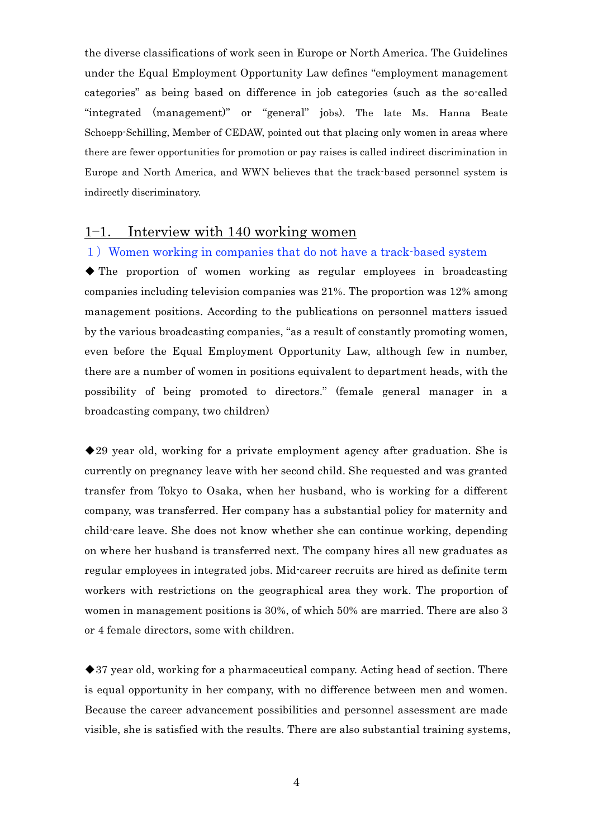the diverse classifications of work seen in Europe or North America. The Guidelines under the Equal Employment Opportunity Law defines "employment management categories" as being based on difference in job categories (such as the so-called "integrated (management)" or "general" jobs). The late Ms. Hanna Beate Schoepp-Schilling, Member of CEDAW, pointed out that placing only women in areas where there are fewer opportunities for promotion or pay raises is called indirect discrimination in Europe and North America, and WWN believes that the track-based personnel system is indirectly discriminatory.

## 1-1. Interview with 140 working women

#### 1) Women working in companies that do not have a track-based system

◆ The proportion of women working as regular employees in broadcasting companies including television companies was 21%. The proportion was 12% among management positions. According to the publications on personnel matters issued by the various broadcasting companies, "as a result of constantly promoting women, even before the Equal Employment Opportunity Law, although few in number, there are a number of women in positions equivalent to department heads, with the possibility of being promoted to directors." (female general manager in a broadcasting company, two children)

◆29 year old, working for a private employment agency after graduation. She is currently on pregnancy leave with her second child. She requested and was granted transfer from Tokyo to Osaka, when her husband, who is working for a different company, was transferred. Her company has a substantial policy for maternity and child-care leave. She does not know whether she can continue working, depending on where her husband is transferred next. The company hires all new graduates as regular employees in integrated jobs. Mid-career recruits are hired as definite term workers with restrictions on the geographical area they work. The proportion of women in management positions is 30%, of which 50% are married. There are also 3 or 4 female directors, some with children.

◆37 year old, working for a pharmaceutical company. Acting head of section. There is equal opportunity in her company, with no difference between men and women. Because the career advancement possibilities and personnel assessment are made visible, she is satisfied with the results. There are also substantial training systems,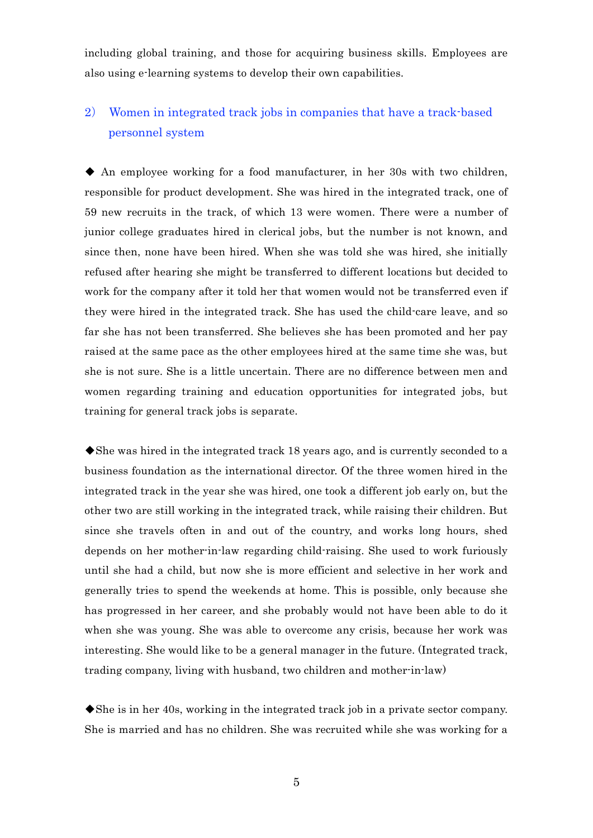including global training, and those for acquiring business skills. Employees are also using e-learning systems to develop their own capabilities.

# 2) Women in integrated track jobs in companies that have a track-based personnel system

◆ An employee working for a food manufacturer, in her 30s with two children, responsible for product development. She was hired in the integrated track, one of 59 new recruits in the track, of which 13 were women. There were a number of junior college graduates hired in clerical jobs, but the number is not known, and since then, none have been hired. When she was told she was hired, she initially refused after hearing she might be transferred to different locations but decided to work for the company after it told her that women would not be transferred even if they were hired in the integrated track. She has used the child-care leave, and so far she has not been transferred. She believes she has been promoted and her pay raised at the same pace as the other employees hired at the same time she was, but she is not sure. She is a little uncertain. There are no difference between men and women regarding training and education opportunities for integrated jobs, but training for general track jobs is separate.

◆She was hired in the integrated track 18 years ago, and is currently seconded to a business foundation as the international director. Of the three women hired in the integrated track in the year she was hired, one took a different job early on, but the other two are still working in the integrated track, while raising their children. But since she travels often in and out of the country, and works long hours, shed depends on her mother-in-law regarding child-raising. She used to work furiously until she had a child, but now she is more efficient and selective in her work and generally tries to spend the weekends at home. This is possible, only because she has progressed in her career, and she probably would not have been able to do it when she was young. She was able to overcome any crisis, because her work was interesting. She would like to be a general manager in the future. (Integrated track, trading company, living with husband, two children and mother-in-law)

◆She is in her 40s, working in the integrated track job in a private sector company. She is married and has no children. She was recruited while she was working for a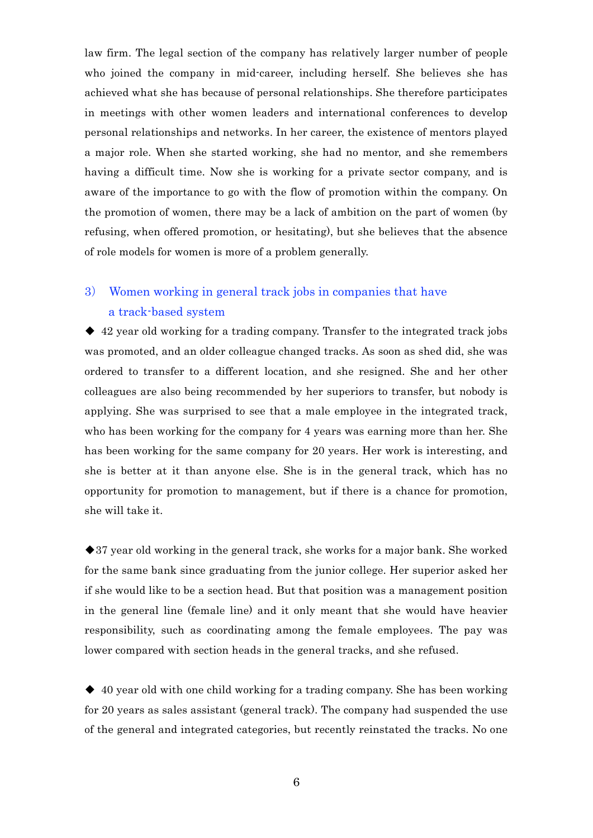law firm. The legal section of the company has relatively larger number of people who joined the company in mid-career, including herself. She believes she has achieved what she has because of personal relationships. She therefore participates in meetings with other women leaders and international conferences to develop personal relationships and networks. In her career, the existence of mentors played a major role. When she started working, she had no mentor, and she remembers having a difficult time. Now she is working for a private sector company, and is aware of the importance to go with the flow of promotion within the company. On the promotion of women, there may be a lack of ambition on the part of women (by refusing, when offered promotion, or hesitating), but she believes that the absence of role models for women is more of a problem generally.

# 3) Women working in general track jobs in companies that have a track-based system

◆ 42 year old working for a trading company. Transfer to the integrated track jobs was promoted, and an older colleague changed tracks. As soon as shed did, she was ordered to transfer to a different location, and she resigned. She and her other colleagues are also being recommended by her superiors to transfer, but nobody is applying. She was surprised to see that a male employee in the integrated track, who has been working for the company for 4 years was earning more than her. She has been working for the same company for 20 years. Her work is interesting, and she is better at it than anyone else. She is in the general track, which has no opportunity for promotion to management, but if there is a chance for promotion, she will take it.

◆37 year old working in the general track, she works for a major bank. She worked for the same bank since graduating from the junior college. Her superior asked her if she would like to be a section head. But that position was a management position in the general line (female line) and it only meant that she would have heavier responsibility, such as coordinating among the female employees. The pay was lower compared with section heads in the general tracks, and she refused.

◆ 40 year old with one child working for a trading company. She has been working for 20 years as sales assistant (general track). The company had suspended the use of the general and integrated categories, but recently reinstated the tracks. No one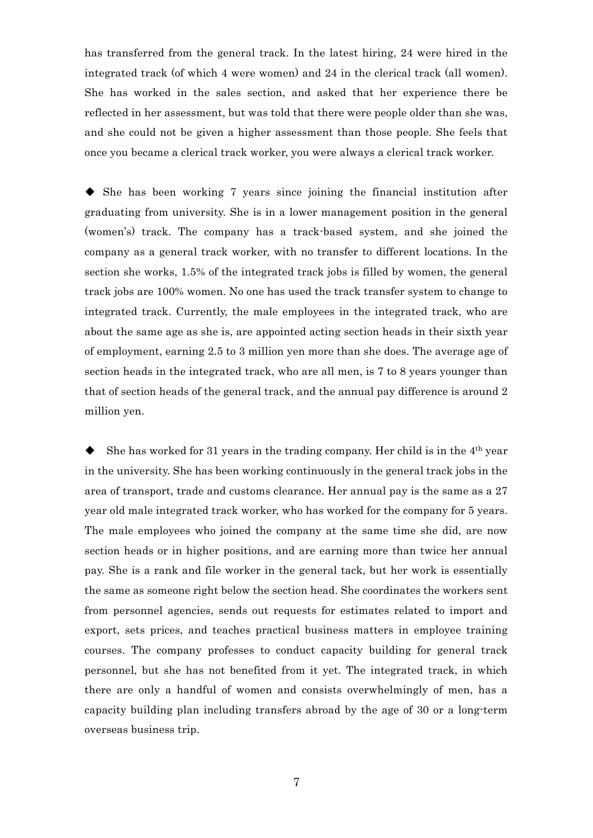has transferred from the general track. In the latest hiring, 24 were hired in the integrated track (of which 4 were women) and 24 in the clerical track (all women). She has worked in the sales section, and asked that her experience there be reflected in her assessment, but was told that there were people older than she was, and she could not be given a higher assessment than those people. She feels that once you became a clerical track worker, you were always a clerical track worker.

◆ She has been working 7 years since joining the financial institution after graduating from university. She is in a lower management position in the general (women's) track. The company has a track-based system, and she joined the company as a general track worker, with no transfer to different locations. In the section she works, 1.5% of the integrated track jobs is filled by women, the general track jobs are 100% women. No one has used the track transfer system to change to integrated track. Currently, the male employees in the integrated track, who are about the same age as she is, are appointed acting section heads in their sixth year of employment, earning 2.5 to 3 million yen more than she does. The average age of section heads in the integrated track, who are all men, is 7 to 8 years younger than that of section heads of the general track, and the annual pay difference is around 2 million yen.

She has worked for 31 years in the trading company. Her child is in the  $4<sup>th</sup>$  year in the university. She has been working continuously in the general track jobs in the area of transport, trade and customs clearance. Her annual pay is the same as a 27 year old male integrated track worker, who has worked for the company for 5 years. The male employees who joined the company at the same time she did, are now section heads or in higher positions, and are earning more than twice her annual pay. She is a rank and file worker in the general tack, but her work is essentially the same as someone right below the section head. She coordinates the workers sent from personnel agencies, sends out requests for estimates related to import and export, sets prices, and teaches practical business matters in employee training courses. The company professes to conduct capacity building for general track personnel, but she has not benefited from it yet. The integrated track, in which there are only a handful of women and consists overwhelmingly of men, has a capacity building plan including transfers abroad by the age of 30 or a long-term overseas business trip.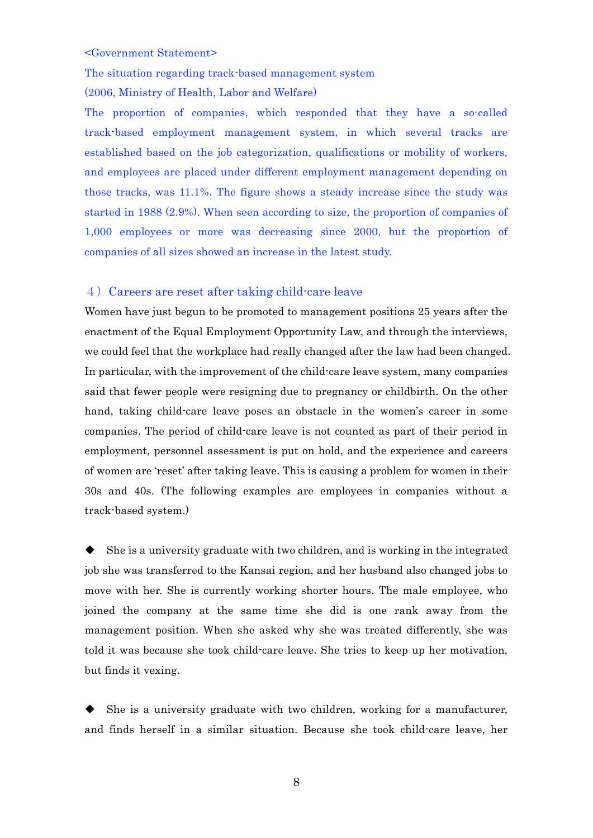#### <Government Statement>

The situation regarding track-based management system (2006, Ministry of Health, Labor and Welfare)

The proportion of companies, which responded that they have a so-called track-based employment management system, in which several tracks are established based on the job categorization, qualifications or mobility of workers, and employees are placed under different employment management depending on those tracks, was 11.1%. The figure shows a steady increase since the study was started in 1988 (2.9%). When seen according to size, the proportion of companies of 1,000 employees or more was decreasing since 2000, but the proportion of companies of all sizes showed an increase in the latest study.

### 4)Careers are reset after taking child-care leave

Women have just begun to be promoted to management positions 25 years after the enactment of the Equal Employment Opportunity Law, and through the interviews, we could feel that the workplace had really changed after the law had been changed. In particular, with the improvement of the child-care leave system, many companies said that fewer people were resigning due to pregnancy or childbirth. On the other hand, taking child-care leave poses an obstacle in the women's career in some companies. The period of child-care leave is not counted as part of their period in employment, personnel assessment is put on hold, and the experience and careers of women are 'reset' after taking leave. This is causing a problem for women in their 30s and 40s. (The following examples are employees in companies without a track-based system.)

◆ She is a university graduate with two children, and is working in the integrated job she was transferred to the Kansai region, and her husband also changed jobs to move with her. She is currently working shorter hours. The male employee, who joined the company at the same time she did is one rank away from the management position. When she asked why she was treated differently, she was told it was because she took child-care leave. She tries to keep up her motivation, but finds it vexing.

She is a university graduate with two children, working for a manufacturer, and finds herself in a similar situation. Because she took child-care leave, her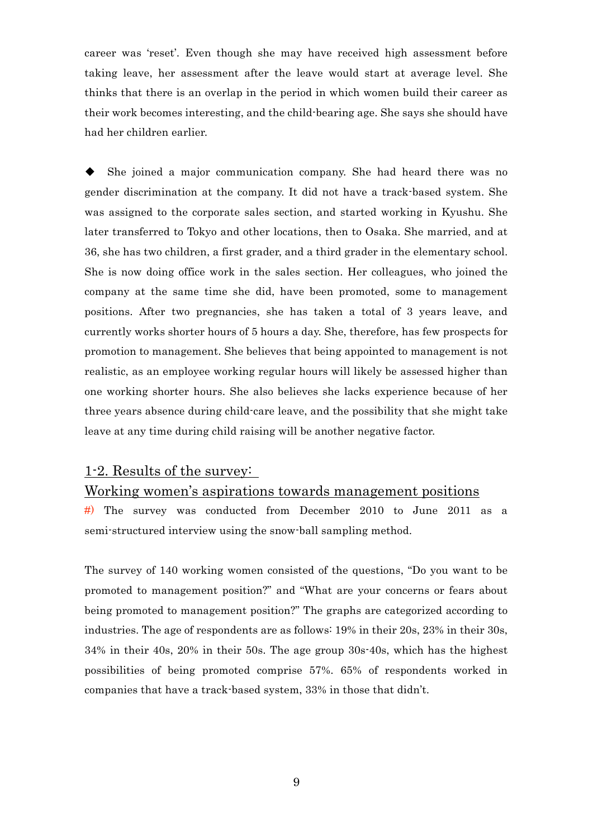career was 'reset'. Even though she may have received high assessment before taking leave, her assessment after the leave would start at average level. She thinks that there is an overlap in the period in which women build their career as their work becomes interesting, and the child-bearing age. She says she should have had her children earlier.

She joined a major communication company. She had heard there was no gender discrimination at the company. It did not have a track-based system. She was assigned to the corporate sales section, and started working in Kyushu. She later transferred to Tokyo and other locations, then to Osaka. She married, and at 36, she has two children, a first grader, and a third grader in the elementary school. She is now doing office work in the sales section. Her colleagues, who joined the company at the same time she did, have been promoted, some to management positions. After two pregnancies, she has taken a total of 3 years leave, and currently works shorter hours of 5 hours a day. She, therefore, has few prospects for promotion to management. She believes that being appointed to management is not realistic, as an employee working regular hours will likely be assessed higher than one working shorter hours. She also believes she lacks experience because of her three years absence during child-care leave, and the possibility that she might take leave at any time during child raising will be another negative factor.

## 1-2. Results of the survey:

### Working women's aspirations towards management positions

#) The survey was conducted from December 2010 to June 2011 as a semi-structured interview using the snow-ball sampling method.

The survey of 140 working women consisted of the questions, "Do you want to be promoted to management position?" and "What are your concerns or fears about being promoted to management position?" The graphs are categorized according to industries. The age of respondents are as follows: 19% in their 20s, 23% in their 30s, 34% in their 40s, 20% in their 50s. The age group 30s-40s, which has the highest possibilities of being promoted comprise 57%. 65% of respondents worked in companies that have a track-based system, 33% in those that didn't.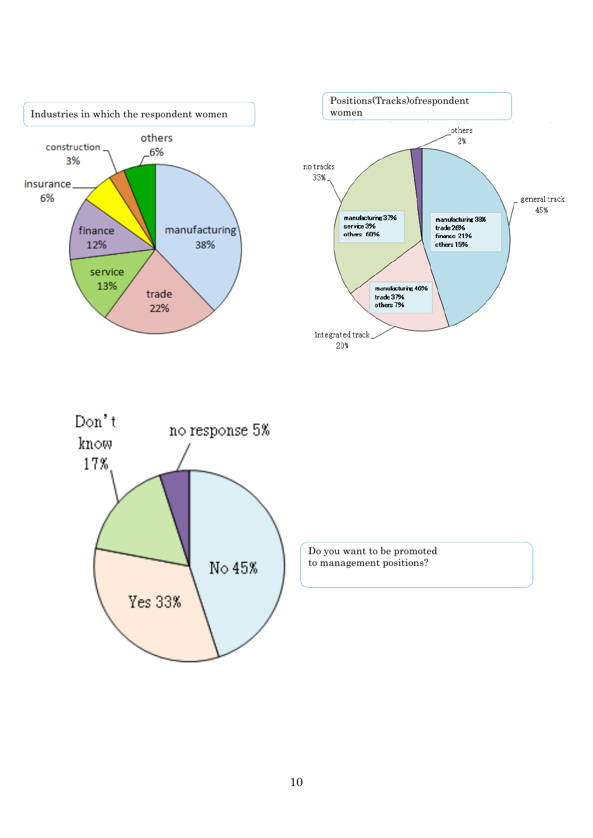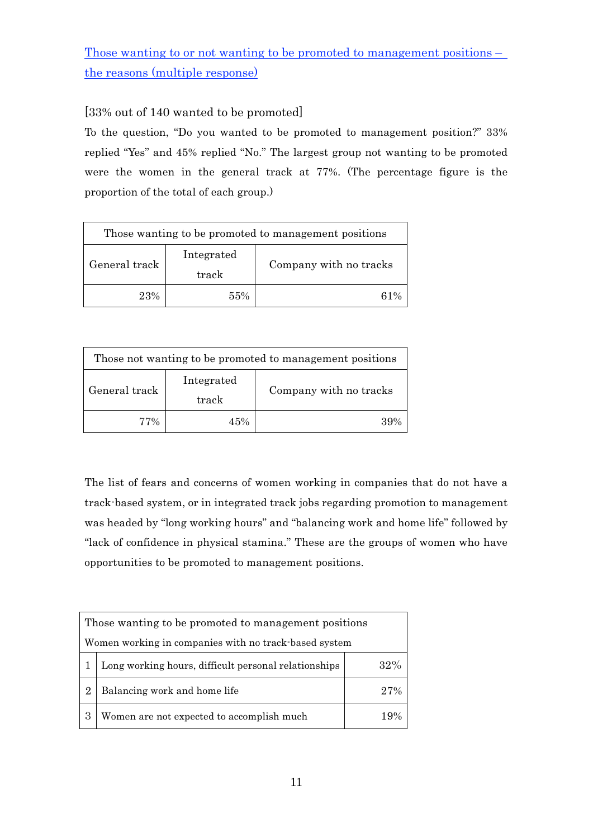Those wanting to or not wanting to be promoted to management positions – the reasons (multiple response)

## [33% out of 140 wanted to be promoted]

To the question, "Do you wanted to be promoted to management position?" 33% replied "Yes" and 45% replied "No." The largest group not wanting to be promoted were the women in the general track at 77%. (The percentage figure is the proportion of the total of each group.)

| Those wanting to be promoted to management positions |                     |                        |  |  |
|------------------------------------------------------|---------------------|------------------------|--|--|
| General track                                        | Integrated<br>track | Company with no tracks |  |  |
| 23%                                                  | 55%                 | $61\%$                 |  |  |

| Those not wanting to be promoted to management positions |                     |                        |  |  |
|----------------------------------------------------------|---------------------|------------------------|--|--|
| General track                                            | Integrated<br>track | Company with no tracks |  |  |
| 77%                                                      | 45%                 | $30\%$                 |  |  |

The list of fears and concerns of women working in companies that do not have a track-based system, or in integrated track jobs regarding promotion to management was headed by "long working hours" and "balancing work and home life" followed by "lack of confidence in physical stamina." These are the groups of women who have opportunities to be promoted to management positions.

|                | Those wanting to be promoted to management positions        |      |  |  |  |  |
|----------------|-------------------------------------------------------------|------|--|--|--|--|
|                | Women working in companies with no track-based system       |      |  |  |  |  |
|                | Long working hours, difficult personal relationships<br>32% |      |  |  |  |  |
| $\overline{2}$ | Balancing work and home life                                | 27%  |  |  |  |  |
| 3              | Women are not expected to accomplish much                   | 1 Q% |  |  |  |  |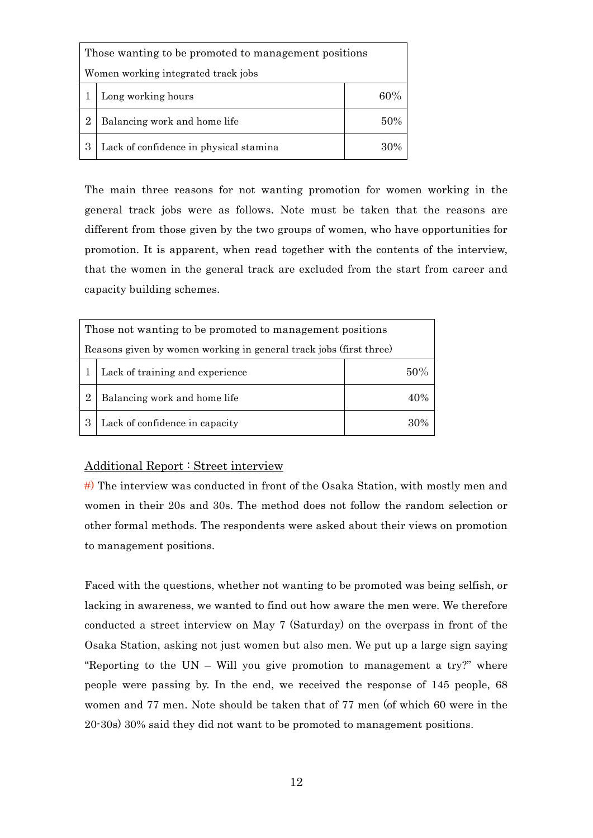| Those wanting to be promoted to management positions |                                        |     |  |  |  |
|------------------------------------------------------|----------------------------------------|-----|--|--|--|
|                                                      | Women working integrated track jobs    |     |  |  |  |
|                                                      | 60%<br>Long working hours              |     |  |  |  |
| 2                                                    | Balancing work and home life           | 50% |  |  |  |
|                                                      | Lack of confidence in physical stamina | 30% |  |  |  |

The main three reasons for not wanting promotion for women working in the general track jobs were as follows. Note must be taken that the reasons are different from those given by the two groups of women, who have opportunities for promotion. It is apparent, when read together with the contents of the interview, that the women in the general track are excluded from the start from career and capacity building schemes.

| Those not wanting to be promoted to management positions           |                                        |     |  |  |  |  |
|--------------------------------------------------------------------|----------------------------------------|-----|--|--|--|--|
| Reasons given by women working in general track jobs (first three) |                                        |     |  |  |  |  |
|                                                                    | 50%<br>Lack of training and experience |     |  |  |  |  |
| $\overline{2}$                                                     | Balancing work and home life           | 40% |  |  |  |  |
| 3                                                                  | Lack of confidence in capacity<br>30%  |     |  |  |  |  |

### Additional Report : Street interview

#) The interview was conducted in front of the Osaka Station, with mostly men and women in their 20s and 30s. The method does not follow the random selection or other formal methods. The respondents were asked about their views on promotion to management positions.

Faced with the questions, whether not wanting to be promoted was being selfish, or lacking in awareness, we wanted to find out how aware the men were. We therefore conducted a street interview on May 7 (Saturday) on the overpass in front of the Osaka Station, asking not just women but also men. We put up a large sign saying "Reporting to the UN – Will you give promotion to management a try?" where people were passing by. In the end, we received the response of 145 people, 68 women and 77 men. Note should be taken that of 77 men (of which 60 were in the 20-30s) 30% said they did not want to be promoted to management positions.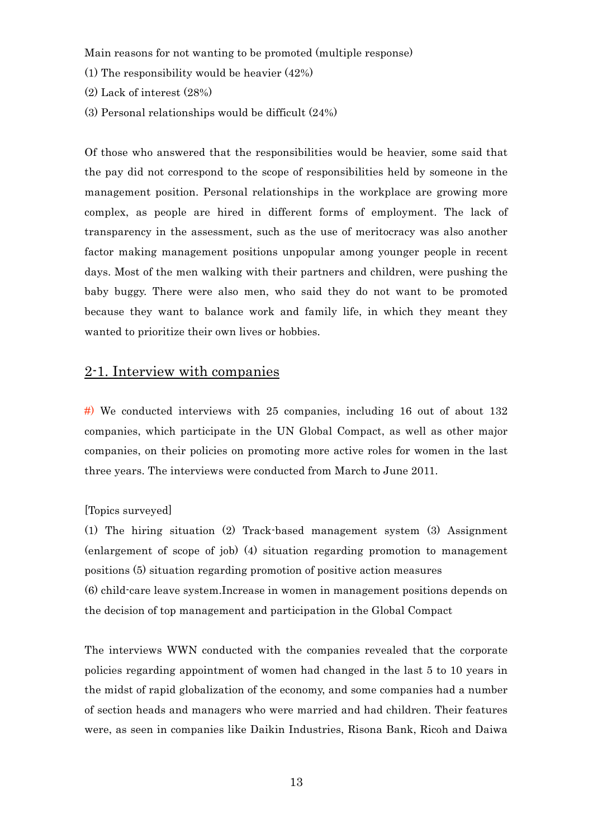Main reasons for not wanting to be promoted (multiple response)

- (1) The responsibility would be heavier (42%)
- (2) Lack of interest (28%)
- (3) Personal relationships would be difficult (24%)

Of those who answered that the responsibilities would be heavier, some said that the pay did not correspond to the scope of responsibilities held by someone in the management position. Personal relationships in the workplace are growing more complex, as people are hired in different forms of employment. The lack of transparency in the assessment, such as the use of meritocracy was also another factor making management positions unpopular among younger people in recent days. Most of the men walking with their partners and children, were pushing the baby buggy. There were also men, who said they do not want to be promoted because they want to balance work and family life, in which they meant they wanted to prioritize their own lives or hobbies.

## 2-1. Interview with companies

 $#$ ) We conducted interviews with 25 companies, including 16 out of about 132 companies, which participate in the UN Global Compact, as well as other major companies, on their policies on promoting more active roles for women in the last three years. The interviews were conducted from March to June 2011.

#### [Topics surveyed]

(1) The hiring situation (2) Track-based management system (3) Assignment (enlargement of scope of job) (4) situation regarding promotion to management positions (5) situation regarding promotion of positive action measures (6) child-care leave system.Increase in women in management positions depends on the decision of top management and participation in the Global Compact

The interviews WWN conducted with the companies revealed that the corporate policies regarding appointment of women had changed in the last 5 to 10 years in the midst of rapid globalization of the economy, and some companies had a number of section heads and managers who were married and had children. Their features were, as seen in companies like Daikin Industries, Risona Bank, Ricoh and Daiwa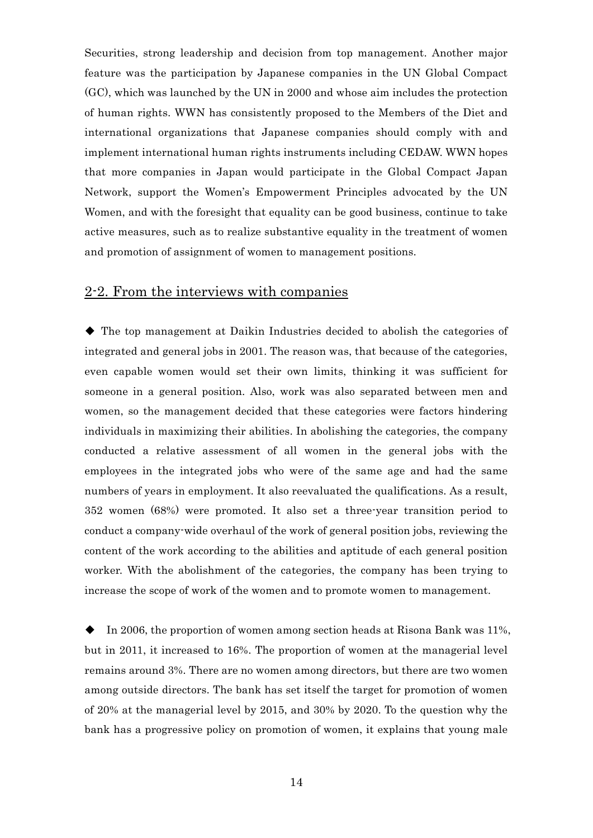Securities, strong leadership and decision from top management. Another major feature was the participation by Japanese companies in the UN Global Compact (GC), which was launched by the UN in 2000 and whose aim includes the protection of human rights. WWN has consistently proposed to the Members of the Diet and international organizations that Japanese companies should comply with and implement international human rights instruments including CEDAW. WWN hopes that more companies in Japan would participate in the Global Compact Japan Network, support the Women's Empowerment Principles advocated by the UN Women, and with the foresight that equality can be good business, continue to take active measures, such as to realize substantive equality in the treatment of women and promotion of assignment of women to management positions.

## 2-2. From the interviews with companies

◆ The top management at Daikin Industries decided to abolish the categories of integrated and general jobs in 2001. The reason was, that because of the categories, even capable women would set their own limits, thinking it was sufficient for someone in a general position. Also, work was also separated between men and women, so the management decided that these categories were factors hindering individuals in maximizing their abilities. In abolishing the categories, the company conducted a relative assessment of all women in the general jobs with the employees in the integrated jobs who were of the same age and had the same numbers of years in employment. It also reevaluated the qualifications. As a result, 352 women (68%) were promoted. It also set a three-year transition period to conduct a company-wide overhaul of the work of general position jobs, reviewing the content of the work according to the abilities and aptitude of each general position worker. With the abolishment of the categories, the company has been trying to increase the scope of work of the women and to promote women to management.

◆ In 2006, the proportion of women among section heads at Risona Bank was 11%, but in 2011, it increased to 16%. The proportion of women at the managerial level remains around 3%. There are no women among directors, but there are two women among outside directors. The bank has set itself the target for promotion of women of 20% at the managerial level by 2015, and 30% by 2020. To the question why the bank has a progressive policy on promotion of women, it explains that young male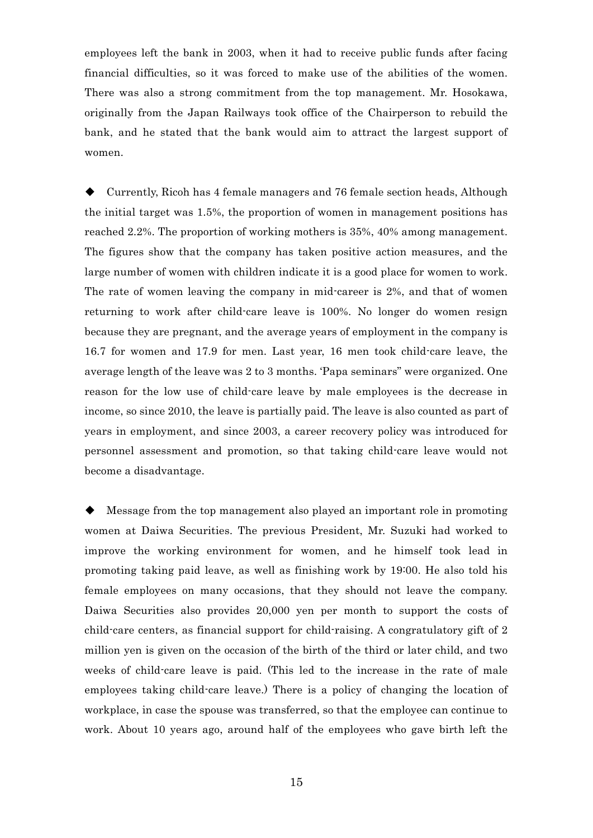employees left the bank in 2003, when it had to receive public funds after facing financial difficulties, so it was forced to make use of the abilities of the women. There was also a strong commitment from the top management. Mr. Hosokawa, originally from the Japan Railways took office of the Chairperson to rebuild the bank, and he stated that the bank would aim to attract the largest support of women.

Currently, Ricoh has 4 female managers and 76 female section heads, Although the initial target was 1.5%, the proportion of women in management positions has reached 2.2%. The proportion of working mothers is 35%, 40% among management. The figures show that the company has taken positive action measures, and the large number of women with children indicate it is a good place for women to work. The rate of women leaving the company in mid-career is 2%, and that of women returning to work after child-care leave is 100%. No longer do women resign because they are pregnant, and the average years of employment in the company is 16.7 for women and 17.9 for men. Last year, 16 men took child-care leave, the average length of the leave was 2 to 3 months. 'Papa seminars" were organized. One reason for the low use of child-care leave by male employees is the decrease in income, so since 2010, the leave is partially paid. The leave is also counted as part of years in employment, and since 2003, a career recovery policy was introduced for personnel assessment and promotion, so that taking child-care leave would not become a disadvantage.

Message from the top management also played an important role in promoting women at Daiwa Securities. The previous President, Mr. Suzuki had worked to improve the working environment for women, and he himself took lead in promoting taking paid leave, as well as finishing work by 19:00. He also told his female employees on many occasions, that they should not leave the company. Daiwa Securities also provides 20,000 yen per month to support the costs of child-care centers, as financial support for child-raising. A congratulatory gift of 2 million yen is given on the occasion of the birth of the third or later child, and two weeks of child-care leave is paid. (This led to the increase in the rate of male employees taking child-care leave.) There is a policy of changing the location of workplace, in case the spouse was transferred, so that the employee can continue to work. About 10 years ago, around half of the employees who gave birth left the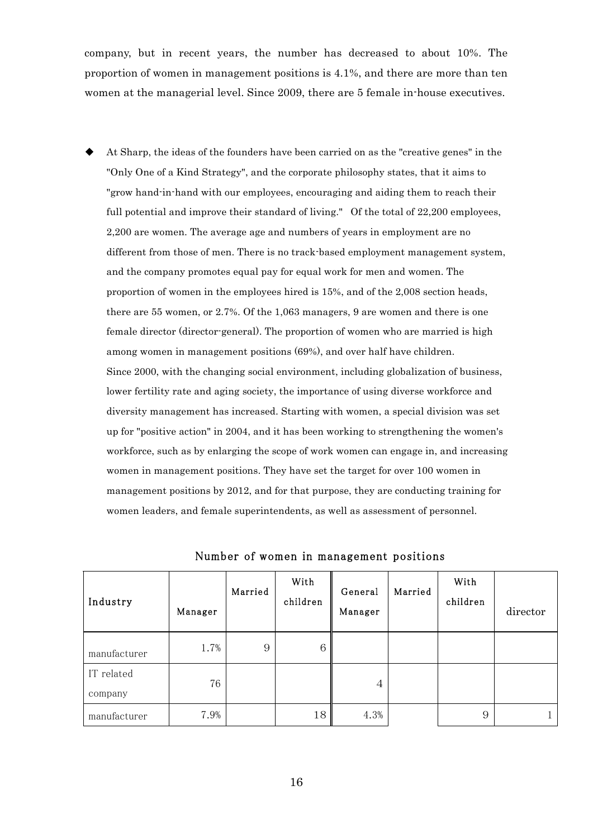company, but in recent years, the number has decreased to about 10%. The proportion of women in management positions is 4.1%, and there are more than ten women at the managerial level. Since 2009, there are 5 female in-house executives.

At Sharp, the ideas of the founders have been carried on as the "creative genes" in the "Only One of a Kind Strategy", and the corporate philosophy states, that it aims to "grow hand-in-hand with our employees, encouraging and aiding them to reach their full potential and improve their standard of living." Of the total of 22,200 employees, 2,200 are women. The average age and numbers of years in employment are no different from those of men. There is no track-based employment management system, and the company promotes equal pay for equal work for men and women. The proportion of women in the employees hired is 15%, and of the 2,008 section heads, there are 55 women, or 2.7%. Of the 1,063 managers, 9 are women and there is one female director (director-general). The proportion of women who are married is high among women in management positions (69%), and over half have children. Since 2000, with the changing social environment, including globalization of business, lower fertility rate and aging society, the importance of using diverse workforce and diversity management has increased. Starting with women, a special division was set up for "positive action" in 2004, and it has been working to strengthening the women's workforce, such as by enlarging the scope of work women can engage in, and increasing women in management positions. They have set the target for over 100 women in management positions by 2012, and for that purpose, they are conducting training for women leaders, and female superintendents, as well as assessment of personnel.

| Industry              | Manager | Married | With<br>children | General<br>Manager | Married | With<br>children | director |
|-----------------------|---------|---------|------------------|--------------------|---------|------------------|----------|
| manufacturer          | 1.7%    | 9       | 6                |                    |         |                  |          |
| IT related<br>company | 76      |         |                  | 4                  |         |                  |          |
| manufacturer          | 7.9%    |         | 18               | 4.3%               |         | 9                |          |

Number of women in management positions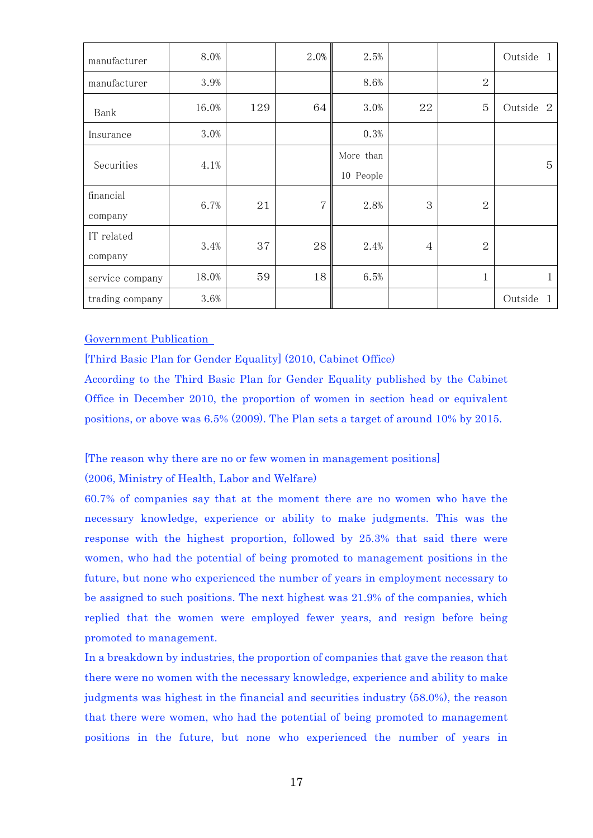| manufacturer    | 8.0%  |     | 2.0% | 2.5%      |                |                | Outside<br>$\overline{1}$ |
|-----------------|-------|-----|------|-----------|----------------|----------------|---------------------------|
| manufacturer    | 3.9%  |     |      | 8.6%      |                | $\overline{2}$ |                           |
| Bank            | 16.0% | 129 | 64   | 3.0%      | 22             | 5              | Outside<br>-2             |
| Insurance       | 3.0%  |     |      | 0.3%      |                |                |                           |
| Securities      | 4.1%  |     |      | More than |                |                | $\overline{5}$            |
|                 |       |     |      | 10 People |                |                |                           |
| financial       | 6.7%  | 21  | 7    | 2.8%      | 3              | $\mathbf{2}$   |                           |
| company         |       |     |      |           |                |                |                           |
| IT related      |       | 37  | 28   |           |                | $\overline{2}$ |                           |
| company         | 3.4%  |     |      | 2.4%      | $\overline{4}$ |                |                           |
| service company | 18.0% | 59  | 18   | 6.5%      |                | 1              | 1                         |
| trading company | 3.6%  |     |      |           |                |                | Outside<br>$\mathbf{1}$   |

Government Publication

[Third Basic Plan for Gender Equality] (2010, Cabinet Office)

According to the Third Basic Plan for Gender Equality published by the Cabinet Office in December 2010, the proportion of women in section head or equivalent positions, or above was 6.5% (2009). The Plan sets a target of around 10% by 2015.

[The reason why there are no or few women in management positions]

(2006, Ministry of Health, Labor and Welfare)

60.7% of companies say that at the moment there are no women who have the necessary knowledge, experience or ability to make judgments. This was the response with the highest proportion, followed by 25.3% that said there were women, who had the potential of being promoted to management positions in the future, but none who experienced the number of years in employment necessary to be assigned to such positions. The next highest was 21.9% of the companies, which replied that the women were employed fewer years, and resign before being promoted to management.

In a breakdown by industries, the proportion of companies that gave the reason that there were no women with the necessary knowledge, experience and ability to make judgments was highest in the financial and securities industry (58.0%), the reason that there were women, who had the potential of being promoted to management positions in the future, but none who experienced the number of years in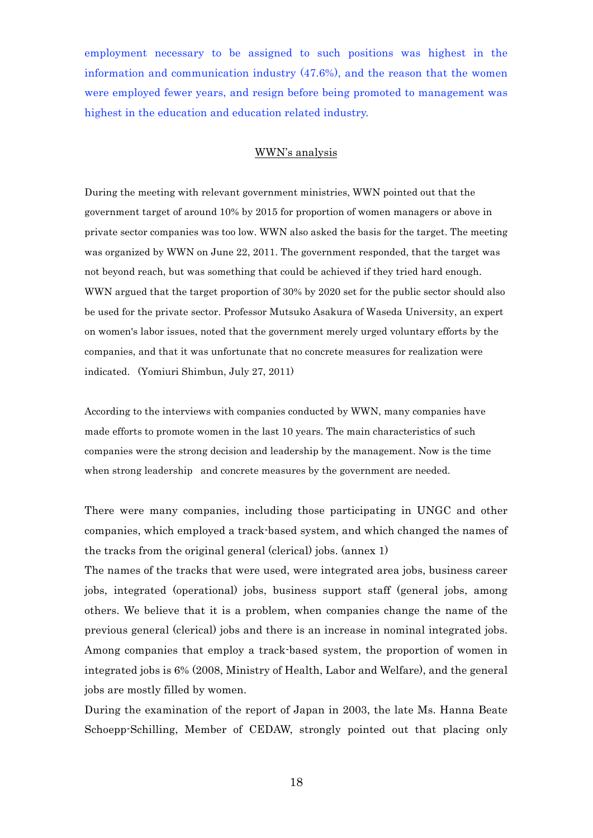employment necessary to be assigned to such positions was highest in the information and communication industry (47.6%), and the reason that the women were employed fewer years, and resign before being promoted to management was highest in the education and education related industry.

#### WWN's analysis

During the meeting with relevant government ministries, WWN pointed out that the government target of around 10% by 2015 for proportion of women managers or above in private sector companies was too low. WWN also asked the basis for the target. The meeting was organized by WWN on June 22, 2011. The government responded, that the target was not beyond reach, but was something that could be achieved if they tried hard enough. WWN argued that the target proportion of 30% by 2020 set for the public sector should also be used for the private sector. Professor Mutsuko Asakura of Waseda University, an expert on women's labor issues, noted that the government merely urged voluntary efforts by the companies, and that it was unfortunate that no concrete measures for realization were indicated. (Yomiuri Shimbun, July 27, 2011)

According to the interviews with companies conducted by WWN, many companies have made efforts to promote women in the last 10 years. The main characteristics of such companies were the strong decision and leadership by the management. Now is the time when strong leadership and concrete measures by the government are needed.

There were many companies, including those participating in UNGC and other companies, which employed a track-based system, and which changed the names of the tracks from the original general (clerical) jobs. (annex 1)

The names of the tracks that were used, were integrated area jobs, business career jobs, integrated (operational) jobs, business support staff (general jobs, among others. We believe that it is a problem, when companies change the name of the previous general (clerical) jobs and there is an increase in nominal integrated jobs. Among companies that employ a track-based system, the proportion of women in integrated jobs is 6% (2008, Ministry of Health, Labor and Welfare), and the general jobs are mostly filled by women.

During the examination of the report of Japan in 2003, the late Ms. Hanna Beate Schoepp-Schilling, Member of CEDAW, strongly pointed out that placing only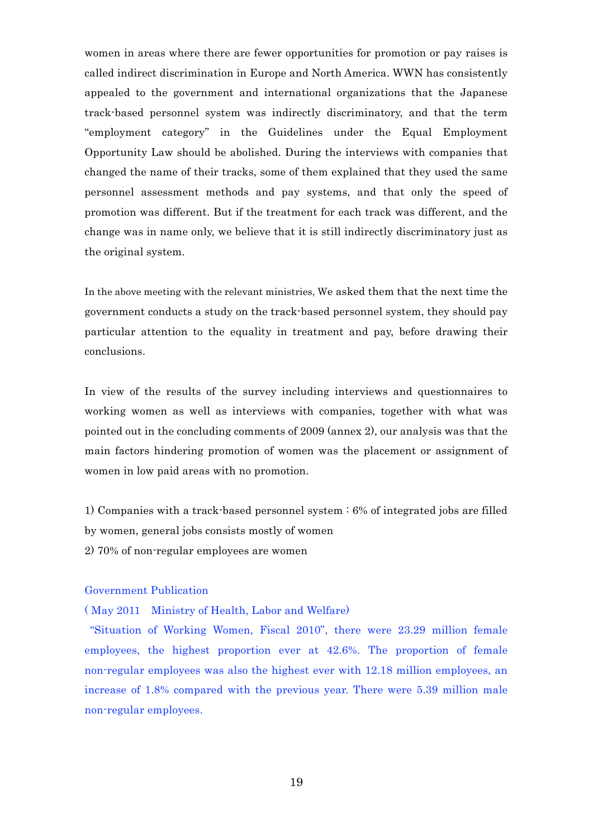women in areas where there are fewer opportunities for promotion or pay raises is called indirect discrimination in Europe and North America. WWN has consistently appealed to the government and international organizations that the Japanese track-based personnel system was indirectly discriminatory, and that the term "employment category" in the Guidelines under the Equal Employment Opportunity Law should be abolished. During the interviews with companies that changed the name of their tracks, some of them explained that they used the same personnel assessment methods and pay systems, and that only the speed of promotion was different. But if the treatment for each track was different, and the change was in name only, we believe that it is still indirectly discriminatory just as the original system.

In the above meeting with the relevant ministries, We asked them that the next time the government conducts a study on the track-based personnel system, they should pay particular attention to the equality in treatment and pay, before drawing their conclusions.

In view of the results of the survey including interviews and questionnaires to working women as well as interviews with companies, together with what was pointed out in the concluding comments of 2009 (annex 2), our analysis was that the main factors hindering promotion of women was the placement or assignment of women in low paid areas with no promotion.

1) Companies with a track-based personnel system : 6% of integrated jobs are filled by women, general jobs consists mostly of women 2) 70% of non-regular employees are women

### Government Publication

( May 2011 Ministry of Health, Labor and Welfare)

 "Situation of Working Women, Fiscal 2010", there were 23.29 million female employees, the highest proportion ever at 42.6%. The proportion of female non-regular employees was also the highest ever with 12.18 million employees, an increase of 1.8% compared with the previous year. There were 5.39 million male non-regular employees.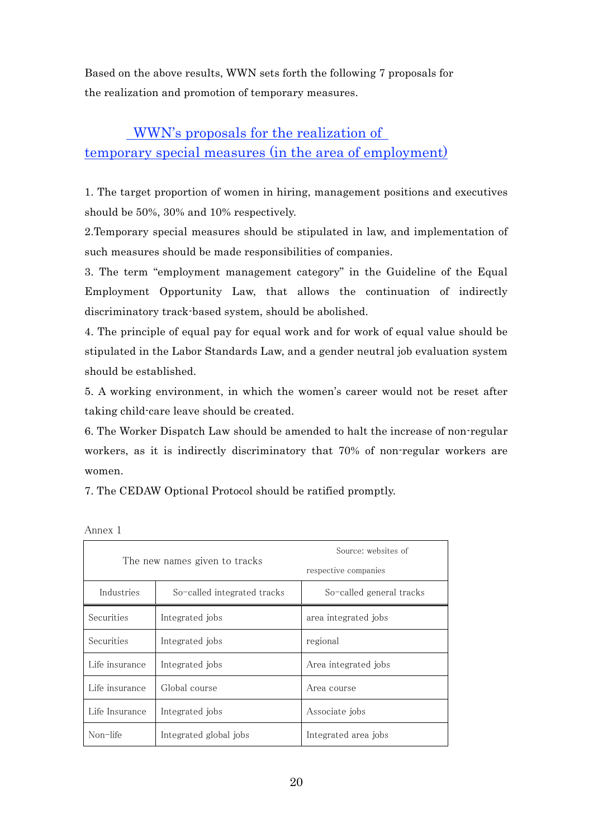Based on the above results, WWN sets forth the following 7 proposals for the realization and promotion of temporary measures.

# WWN's proposals for the realization of temporary special measures (in the area of employment)

1. The target proportion of women in hiring, management positions and executives should be 50%, 30% and 10% respectively.

2.Temporary special measures should be stipulated in law, and implementation of such measures should be made responsibilities of companies.

3. The term "employment management category" in the Guideline of the Equal Employment Opportunity Law, that allows the continuation of indirectly discriminatory track-based system, should be abolished.

4. The principle of equal pay for equal work and for work of equal value should be stipulated in the Labor Standards Law, and a gender neutral job evaluation system should be established.

5. A working environment, in which the women's career would not be reset after taking child-care leave should be created.

6. The Worker Dispatch Law should be amended to halt the increase of non-regular workers, as it is indirectly discriminatory that 70% of non-regular workers are women.

7. The CEDAW Optional Protocol should be ratified promptly.

| The new names given to tracks |                             | Source: websites of      |
|-------------------------------|-----------------------------|--------------------------|
|                               |                             | respective companies     |
| Industries                    | So-called integrated tracks | So-called general tracks |
| Securities                    | Integrated jobs             | area integrated jobs     |
| Securities                    | Integrated jobs             | regional                 |
| Life insurance                | Integrated jobs             | Area integrated jobs     |
| Life insurance                | Global course               | Area course              |
| Life Insurance                | Integrated jobs             | Associate jobs           |
| Non-life                      | Integrated global jobs      | Integrated area jobs     |

Annex 1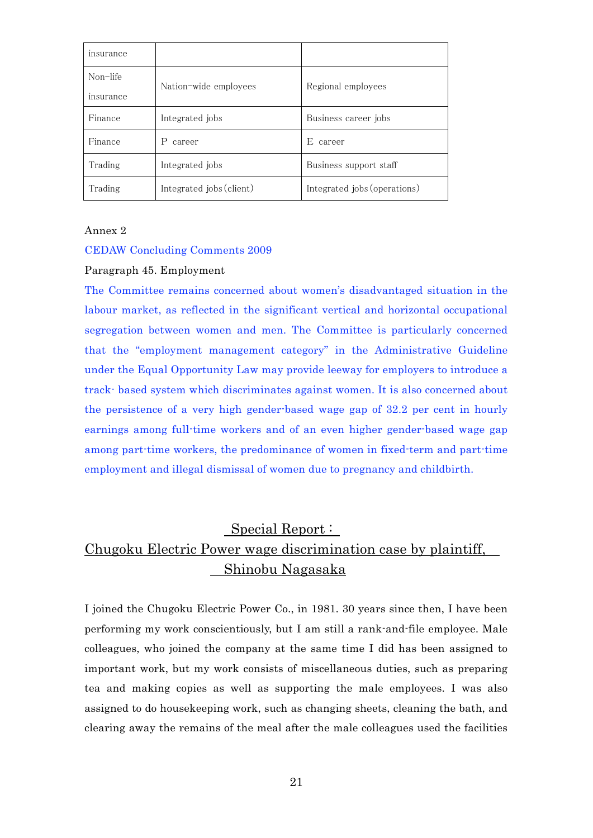| insurance |                          |                              |  |
|-----------|--------------------------|------------------------------|--|
| Non-life  | Nation-wide employees    | Regional employees           |  |
| insurance |                          |                              |  |
| Finance   | Integrated jobs          | Business career jobs         |  |
| Finance   | P<br>career              | E<br>career                  |  |
| Trading   | Integrated jobs          | Business support staff       |  |
| Trading   | Integrated jobs (client) | Integrated jobs (operations) |  |

Annex 2

#### CEDAW Concluding Comments 2009

#### Paragraph 45. Employment

The Committee remains concerned about women's disadvantaged situation in the labour market, as reflected in the significant vertical and horizontal occupational segregation between women and men. The Committee is particularly concerned that the "employment management category" in the Administrative Guideline under the Equal Opportunity Law may provide leeway for employers to introduce a track- based system which discriminates against women. It is also concerned about the persistence of a very high gender-based wage gap of 32.2 per cent in hourly earnings among full-time workers and of an even higher gender-based wage gap among part-time workers, the predominance of women in fixed-term and part-time employment and illegal dismissal of women due to pregnancy and childbirth.

# Special Report : Chugoku Electric Power wage discrimination case by plaintiff, Shinobu Nagasaka

I joined the Chugoku Electric Power Co., in 1981. 30 years since then, I have been performing my work conscientiously, but I am still a rank-and-file employee. Male colleagues, who joined the company at the same time I did has been assigned to important work, but my work consists of miscellaneous duties, such as preparing tea and making copies as well as supporting the male employees. I was also assigned to do housekeeping work, such as changing sheets, cleaning the bath, and clearing away the remains of the meal after the male colleagues used the facilities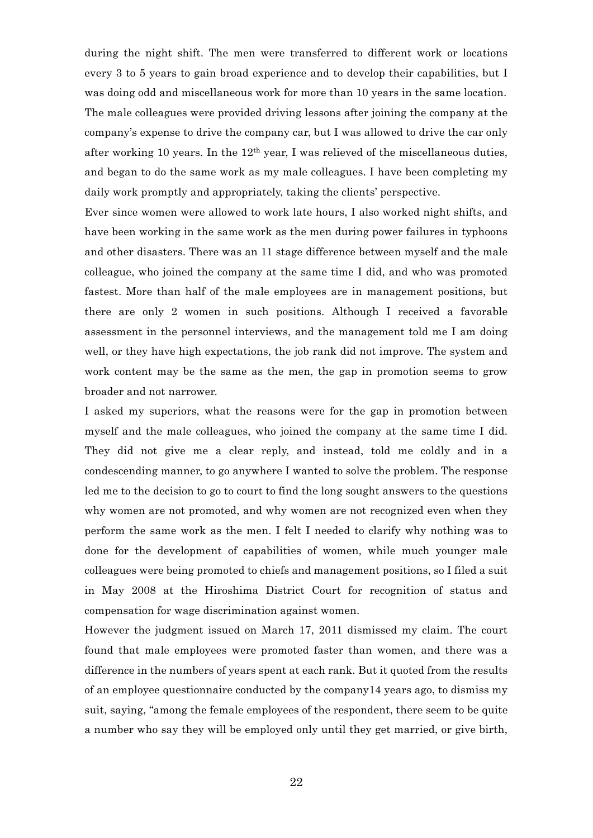during the night shift. The men were transferred to different work or locations every 3 to 5 years to gain broad experience and to develop their capabilities, but I was doing odd and miscellaneous work for more than 10 years in the same location. The male colleagues were provided driving lessons after joining the company at the company's expense to drive the company car, but I was allowed to drive the car only after working 10 years. In the  $12<sup>th</sup>$  year, I was relieved of the miscellaneous duties, and began to do the same work as my male colleagues. I have been completing my daily work promptly and appropriately, taking the clients' perspective.

Ever since women were allowed to work late hours, I also worked night shifts, and have been working in the same work as the men during power failures in typhoons and other disasters. There was an 11 stage difference between myself and the male colleague, who joined the company at the same time I did, and who was promoted fastest. More than half of the male employees are in management positions, but there are only 2 women in such positions. Although I received a favorable assessment in the personnel interviews, and the management told me I am doing well, or they have high expectations, the job rank did not improve. The system and work content may be the same as the men, the gap in promotion seems to grow broader and not narrower.

I asked my superiors, what the reasons were for the gap in promotion between myself and the male colleagues, who joined the company at the same time I did. They did not give me a clear reply, and instead, told me coldly and in a condescending manner, to go anywhere I wanted to solve the problem. The response led me to the decision to go to court to find the long sought answers to the questions why women are not promoted, and why women are not recognized even when they perform the same work as the men. I felt I needed to clarify why nothing was to done for the development of capabilities of women, while much younger male colleagues were being promoted to chiefs and management positions, so I filed a suit in May 2008 at the Hiroshima District Court for recognition of status and compensation for wage discrimination against women.

However the judgment issued on March 17, 2011 dismissed my claim. The court found that male employees were promoted faster than women, and there was a difference in the numbers of years spent at each rank. But it quoted from the results of an employee questionnaire conducted by the company14 years ago, to dismiss my suit, saying, "among the female employees of the respondent, there seem to be quite a number who say they will be employed only until they get married, or give birth,

22